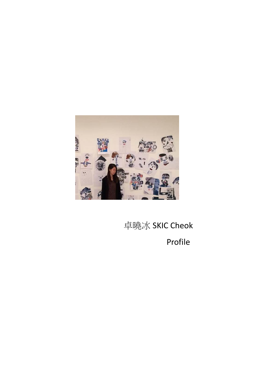

# 卓曉冰 SKIC Cheok Profile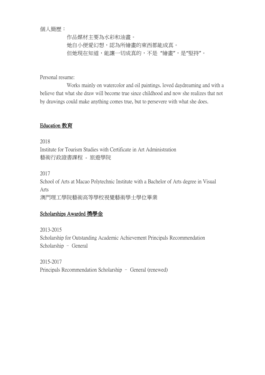個人簡歷:

 作品媒材主要為水彩和油畫。 她自小便愛幻想,認為所繪畫的東西都能成真。 但她現在知道,能讓一切成真的,不是 "繪畫",是"堅持"。

Personal resume:

 Works mainly on watercolor and oil paintings. loved daydreaming and with a believe that what she draw will become true since childhood and now she realizes that not by drawings could make anything comes true, but to persevere with what she does.

## Education 教育

2018 Institute for Tourism Studies with Certificate in Art Administration 藝術行政證書課程 - 旅遊學院

2017

School of Arts at Macao Polytechnic Institute with a Bachelor of Arts degree in Visual Arts 澳門理工學院藝術高等學校視覺藝術學士學位畢業

## Scholarships Awarded 獎學金

2013-2015 Scholarship for Outstanding Academic Achievement Principals Recommendation Scholarship – General

2015-2017 Principals Recommendation Scholarship – General (renewed)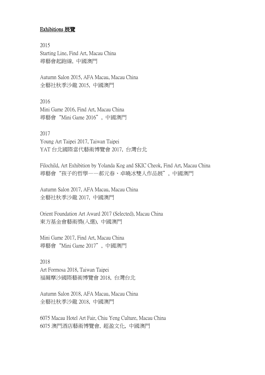#### Exhibitions 展覽

2015 Starting Line, Find Art, Macau China 尋藝會起跑線, 中國澳門

Autumn Salon 2015, AFA Macau, Macau China 全藝社秋季沙龍 2015, 中國澳門

2016 Mini Game 2016, Find Art, Macau China 尋藝會"Mini Game 2016", 中國澳門

#### 2017

Young Art Taipei 2017, Taiwan Taipei YAT 台北國際當代藝術博覽會 2017, 台灣台北

Filochild, Art Exhibition by Yolanda Kog and SKIC Cheok, Find Art, Macau China 尋藝會"孩子的哲學——郝元春、卓曉冰雙人作品展", 中國澳門

Autumn Salon 2017, AFA Macau, Macau China 全藝社秋季沙龍 2017, 中國澳門

Orient Foundation Art Award 2017 (Selected), Macau China 東方基金會藝術獎(入選), 中國澳門

Mini Game 2017, Find Art, Macau China 尋藝會"Mini Game 2017", 中國澳門

2018 Art Formosa 2018, Taiwan Taipei 福爾摩沙國際藝術博覽會 2018, 台灣台北

Autumn Salon 2018, AFA Macau, Macau China 全藝社秋季沙龍 2018, 中國澳門

6075 Macau Hotel Art Fair, Chiu Yeng Culture, Macau China 6075 澳門酒店藝術博覽會, 超盈文化, 中國澳門